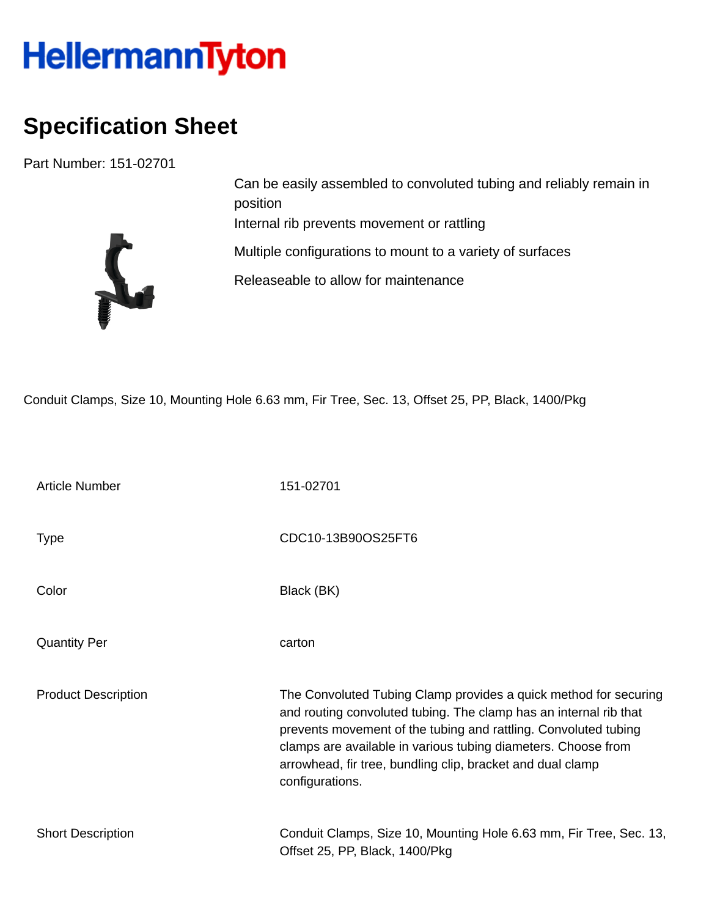## HellermannTyton

## **Specification Sheet**

Part Number: 151-02701



Can be easily assembled to convoluted tubing and reliably remain in position Internal rib prevents movement or rattling Multiple configurations to mount to a variety of surfaces Releaseable to allow for maintenance

Conduit Clamps, Size 10, Mounting Hole 6.63 mm, Fir Tree, Sec. 13, Offset 25, PP, Black, 1400/Pkg

| <b>Article Number</b>      | 151-02701                                                                                                                                                                                                                                                                                                                                                  |
|----------------------------|------------------------------------------------------------------------------------------------------------------------------------------------------------------------------------------------------------------------------------------------------------------------------------------------------------------------------------------------------------|
| Type                       | CDC10-13B90OS25FT6                                                                                                                                                                                                                                                                                                                                         |
| Color                      | Black (BK)                                                                                                                                                                                                                                                                                                                                                 |
| <b>Quantity Per</b>        | carton                                                                                                                                                                                                                                                                                                                                                     |
| <b>Product Description</b> | The Convoluted Tubing Clamp provides a quick method for securing<br>and routing convoluted tubing. The clamp has an internal rib that<br>prevents movement of the tubing and rattling. Convoluted tubing<br>clamps are available in various tubing diameters. Choose from<br>arrowhead, fir tree, bundling clip, bracket and dual clamp<br>configurations. |
| <b>Short Description</b>   | Conduit Clamps, Size 10, Mounting Hole 6.63 mm, Fir Tree, Sec. 13,<br>Offset 25, PP, Black, 1400/Pkg                                                                                                                                                                                                                                                       |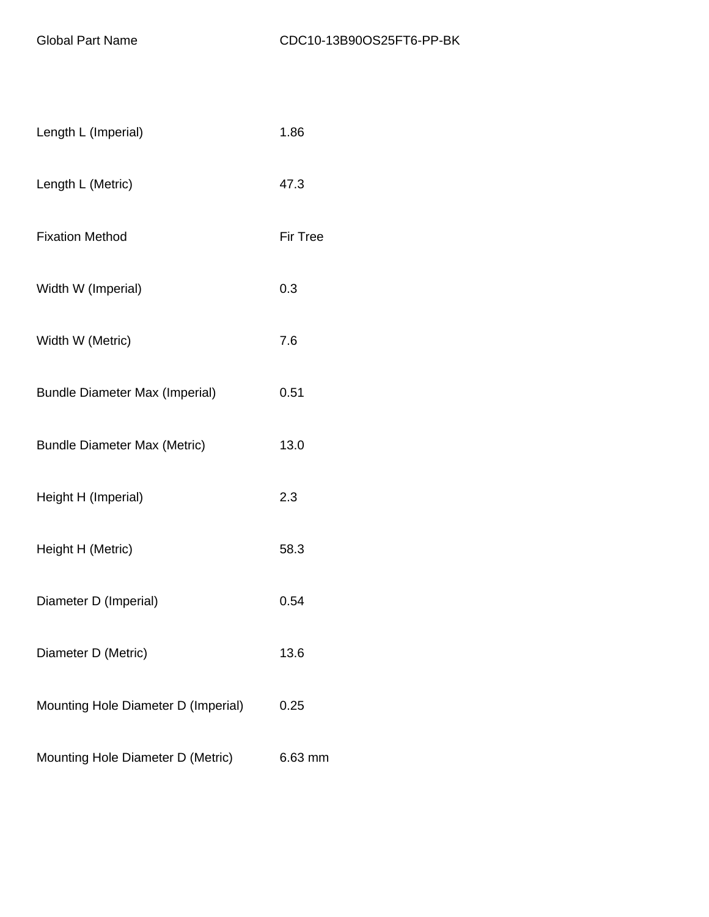| Length L (Imperial)                   | 1.86            |
|---------------------------------------|-----------------|
| Length L (Metric)                     | 47.3            |
| <b>Fixation Method</b>                | <b>Fir Tree</b> |
| Width W (Imperial)                    | 0.3             |
| Width W (Metric)                      | 7.6             |
| <b>Bundle Diameter Max (Imperial)</b> | 0.51            |
| <b>Bundle Diameter Max (Metric)</b>   | 13.0            |
| Height H (Imperial)                   | 2.3             |
| Height H (Metric)                     | 58.3            |
| Diameter D (Imperial)                 | 0.54            |
| Diameter D (Metric)                   | 13.6            |
| Mounting Hole Diameter D (Imperial)   | 0.25            |
| Mounting Hole Diameter D (Metric)     | 6.63 mm         |